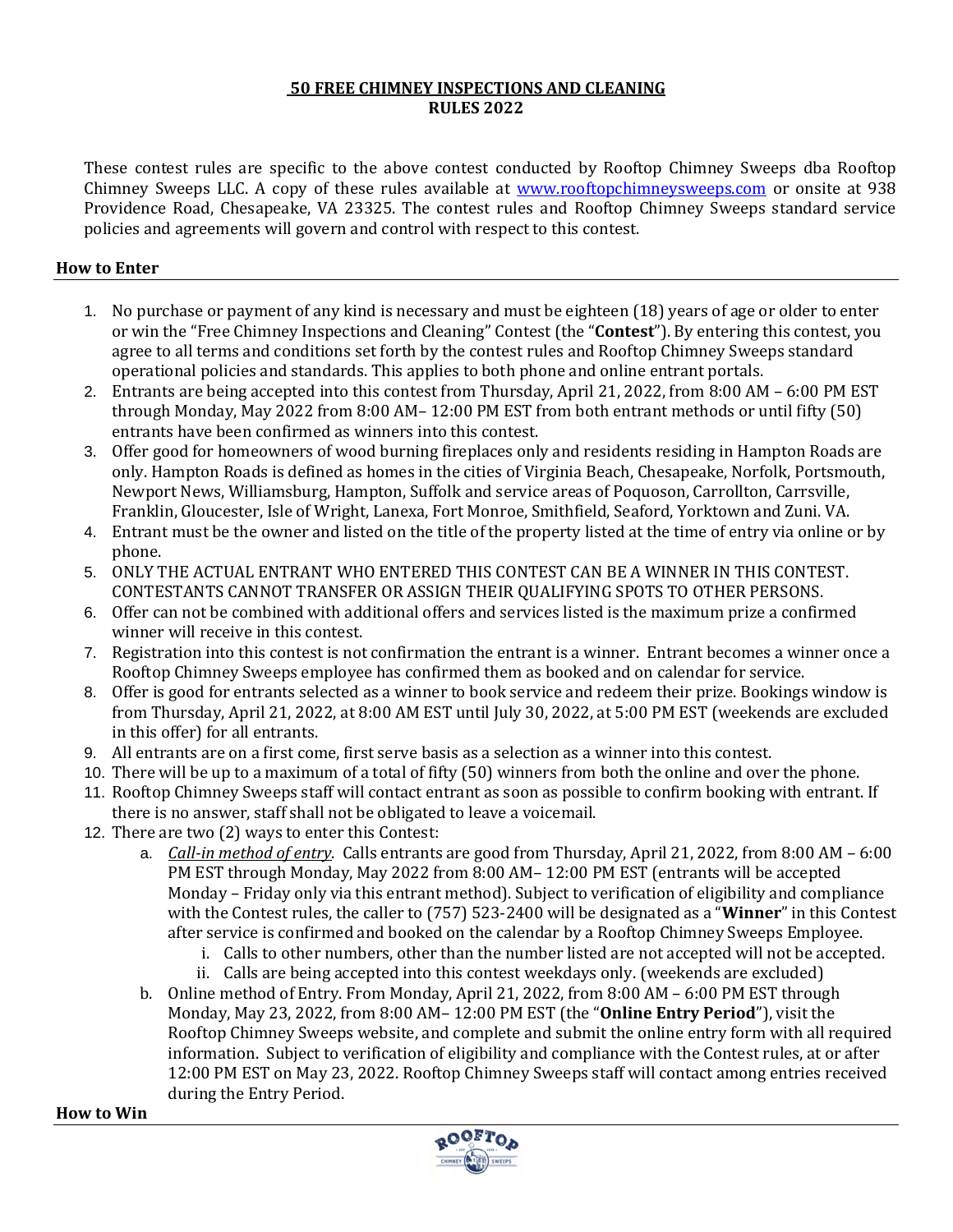### **50 FREE CHIMNEY INSPECTIONS AND CLEANING RULES 2022**

These contest rules are specific to the above contest conducted by Rooftop Chimney Sweeps dba Rooftop Chimney Sweeps LLC. A copy of these rules available at **www.rooftopchimneysweeps.com** or onsite at 938 Providence Road, Chesapeake, VA 23325. The contest rules and Rooftop Chimney Sweeps standard service policies and agreements will govern and control with respect to this contest.

# **How to Enter**

- 1. No purchase or payment of any kind is necessary and must be eighteen (18) years of age or older to enter or win the "Free Chimney Inspections and Cleaning" Contest (the "**Contest**"). By entering this contest, you agree to all terms and conditions set forth by the contest rules and Rooftop Chimney Sweeps standard operational policies and standards. This applies to both phone and online entrant portals.
- 2. Entrants are being accepted into this contest from Thursday, April 21, 2022, from 8:00 AM 6:00 PM EST through Monday, May 2022 from 8:00 AM– 12:00 PM EST from both entrant methods or until fifty (50) entrants have been confirmed as winners into this contest.
- 3. Offer good for homeowners of wood burning fireplaces only and residents residing in Hampton Roads are only. Hampton Roads is defined as homes in the cities of Virginia Beach, Chesapeake, Norfolk, Portsmouth, Newport News, Williamsburg, Hampton, Suffolk and service areas of Poquoson, Carrollton, Carrsville, Franklin, Gloucester, Isle of Wright, Lanexa, Fort Monroe, Smithfield, Seaford, Yorktown and Zuni. VA.
- 4. Entrant must be the owner and listed on the title of the property listed at the time of entry via online or by phone.
- 5. ONLY THE ACTUAL ENTRANT WHO ENTERED THIS CONTEST CAN BE A WINNER IN THIS CONTEST. CONTESTANTS CANNOT TRANSFER OR ASSIGN THEIR QUALIFYING SPOTS TO OTHER PERSONS.
- 6. Offer can not be combined with additional offers and services listed is the maximum prize a confirmed winner will receive in this contest.
- 7. Registration into this contest is not confirmation the entrant is a winner. Entrant becomes a winner once a Rooftop Chimney Sweeps employee has confirmed them as booked and on calendar for service.
- 8. Offer is good for entrants selected as a winner to book service and redeem their prize. Bookings window is from Thursday, April 21, 2022, at 8:00 AM EST until July 30, 2022, at 5:00 PM EST (weekends are excluded in this offer) for all entrants.
- 9. All entrants are on a first come, first serve basis as a selection as a winner into this contest.
- 10. There will be up to a maximum of a total of fifty (50) winners from both the online and over the phone.
- 11. Rooftop Chimney Sweeps staff will contact entrant as soon as possible to confirm booking with entrant. If there is no answer, staff shall not be obligated to leave a voicemail.
- 12. There are two (2) ways to enter this Contest:
	- a. *Call-in method of entry*. Calls entrants are good from Thursday, April 21, 2022, from 8:00 AM 6:00 PM EST through Monday, May 2022 from 8:00 AM– 12:00 PM EST (entrants will be accepted Monday – Friday only via this entrant method). Subject to verification of eligibility and compliance with the Contest rules, the caller to (757) 523-2400 will be designated as a "**Winner**" in this Contest after service is confirmed and booked on the calendar by a Rooftop Chimney Sweeps Employee.
		- i. Calls to other numbers, other than the number listed are not accepted will not be accepted.
		- ii. Calls are being accepted into this contest weekdays only. (weekends are excluded)
	- b. Online method of Entry. From Monday, April 21, 2022, from 8:00 AM 6:00 PM EST through Monday, May 23, 2022, from 8:00 AM– 12:00 PM EST (the "**Online Entry Period**"), visit the Rooftop Chimney Sweeps website, and complete and submit the online entry form with all required information. Subject to verification of eligibility and compliance with the Contest rules, at or after 12:00 PM EST on May 23, 2022. Rooftop Chimney Sweeps staff will contact among entries received during the Entry Period.

**How to Win**

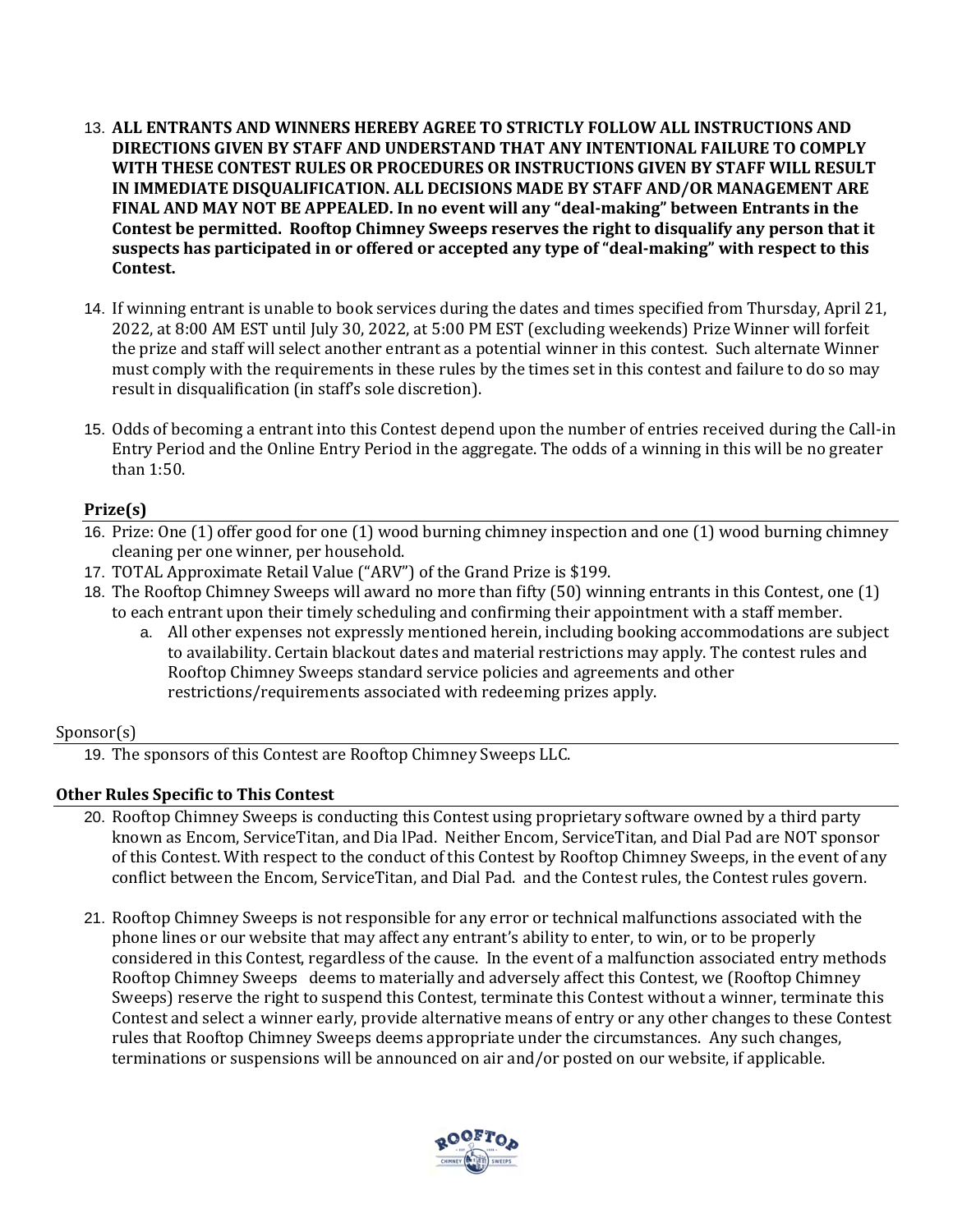- 13. **ALL ENTRANTS AND WINNERS HEREBY AGREE TO STRICTLY FOLLOW ALL INSTRUCTIONS AND DIRECTIONS GIVEN BY STAFF AND UNDERSTAND THAT ANY INTENTIONAL FAILURE TO COMPLY WITH THESE CONTEST RULES OR PROCEDURES OR INSTRUCTIONS GIVEN BY STAFF WILL RESULT IN IMMEDIATE DISQUALIFICATION. ALL DECISIONS MADE BY STAFF AND/OR MANAGEMENT ARE FINAL AND MAY NOT BE APPEALED. In no event will any "deal-making" between Entrants in the Contest be permitted. Rooftop Chimney Sweeps reserves the right to disqualify any person that it suspects has participated in or offered or accepted any type of "deal-making" with respect to this Contest.**
- 14. If winning entrant is unable to book services during the dates and times specified from Thursday, April 21, 2022, at 8:00 AM EST until July 30, 2022, at 5:00 PM EST (excluding weekends) Prize Winner will forfeit the prize and staff will select another entrant as a potential winner in this contest. Such alternate Winner must comply with the requirements in these rules by the times set in this contest and failure to do so may result in disqualification (in staff's sole discretion).
- 15. Odds of becoming a entrant into this Contest depend upon the number of entries received during the Call-in Entry Period and the Online Entry Period in the aggregate. The odds of a winning in this will be no greater than 1:50.

## **Prize(s)**

- 16. Prize: One (1) offer good for one (1) wood burning chimney inspection and one (1) wood burning chimney cleaning per one winner, per household.
- 17. TOTAL Approximate Retail Value ("ARV") of the Grand Prize is \$199.
- 18. The Rooftop Chimney Sweeps will award no more than fifty (50) winning entrants in this Contest, one (1) to each entrant upon their timely scheduling and confirming their appointment with a staff member.
	- a. All other expenses not expressly mentioned herein, including booking accommodations are subject to availability. Certain blackout dates and material restrictions may apply. The contest rules and Rooftop Chimney Sweeps standard service policies and agreements and other restrictions/requirements associated with redeeming prizes apply.

## Sponsor(s)

19. The sponsors of this Contest are Rooftop Chimney Sweeps LLC.

## **Other Rules Specific to This Contest**

- 20. Rooftop Chimney Sweeps is conducting this Contest using proprietary software owned by a third party known as Encom, ServiceTitan, and Dia lPad. Neither Encom, ServiceTitan, and Dial Pad are NOT sponsor of this Contest. With respect to the conduct of this Contest by Rooftop Chimney Sweeps, in the event of any conflict between the Encom, ServiceTitan, and Dial Pad. and the Contest rules, the Contest rules govern.
- 21. Rooftop Chimney Sweeps is not responsible for any error or technical malfunctions associated with the phone lines or our website that may affect any entrant's ability to enter, to win, or to be properly considered in this Contest, regardless of the cause. In the event of a malfunction associated entry methods Rooftop Chimney Sweeps deems to materially and adversely affect this Contest, we (Rooftop Chimney Sweeps) reserve the right to suspend this Contest, terminate this Contest without a winner, terminate this Contest and select a winner early, provide alternative means of entry or any other changes to these Contest rules that Rooftop Chimney Sweeps deems appropriate under the circumstances. Any such changes, terminations or suspensions will be announced on air and/or posted on our website, if applicable.